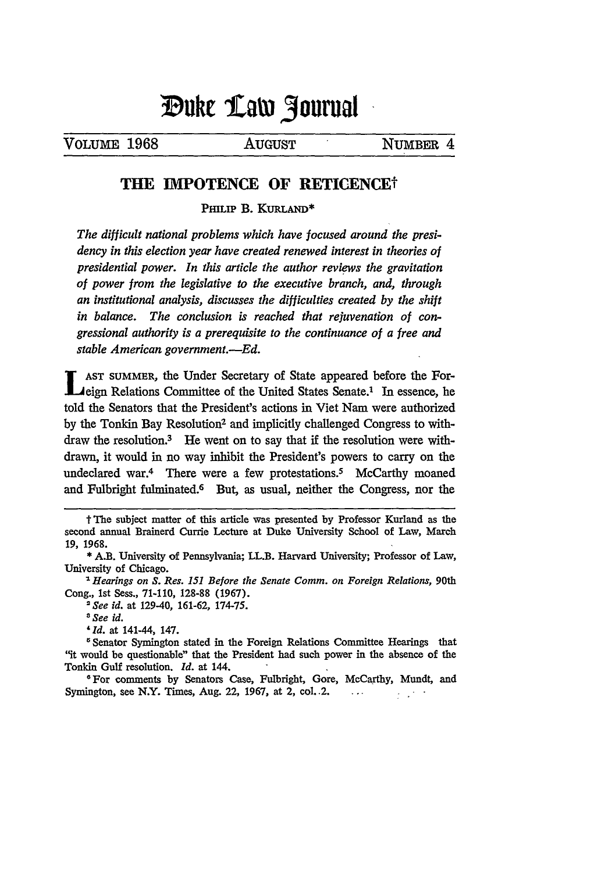## **wokt taw** 3ournal

**VOLUME 1968 AUGUST NUMBER 4** 

## **THE IMPOTENCE OF RETICENCEt**

**PmLIP** B. KURLAND\*

*The difficult national problems which have focused around the presidency in this election year have created renewed interest in theories of presidential power. In this article the author reviews the gravitation of power from the legislative to the executive branch, and, through an institutional analysis, discusses the difficulties created by the shift in balance. The conclusion is reached that rejuvenation of congressional authority is a prerequisite to the continuance of a free and stable American government.-Ed.*

**L AST** SUMMER, the Under Secretary of State appeared before the For-**L** leign Relations Committee of the United States Senate.<sup>1</sup> In essence, he told the Senators that the President's actions in Viet Nam were authorized by the Tonkin Bay Resolution2 and implicitly challenged Congress to withdraw the resolution.3 He went on to say that if the resolution were withdrawn, it would in no way inhibit the President's powers to carry on the undeclared war.<sup>4</sup> There were a few protestations.<sup>5</sup> McCarthy moaned and Fulbright fulminated.6 But, as usual, neither the Congress, nor the

<sup>&</sup>lt;sup>†</sup>The subject matter of this article was presented by Professor Kurland as the second annual Brainerd Currie Lecture at Duke University School of Law, March 19, 1968.

<sup>\*</sup> A.B. University of Pennsylvania; LL.B. Harvard University; Professor of Law, University of Chicago.

*I Hearings on S. Res. 151 Before the Senate Comm. on Foreign Relations,* 90th Cong., 1st Sess., 71-110, 128-88 (1967).

*<sup>&#</sup>x27;See id.* at 129-40, 161-62, 174-75.

*<sup>&#</sup>x27;See id.*

*<sup>&#</sup>x27;Id.* at 141-44, 147.

Senator Symington stated in the Foreign Relations Committee Hearings that "it would be questionable" that the President had such power in the absence of the Tonkin Gulf resolution. *Id.* at 144.

**For** comments by Senators Case, Fulbright, Gore, McCarthy, Mundt, and Symington, see N.Y. Times, Aug. 22, 1967, at 2, col..2. $\ddot{\phantom{a}}$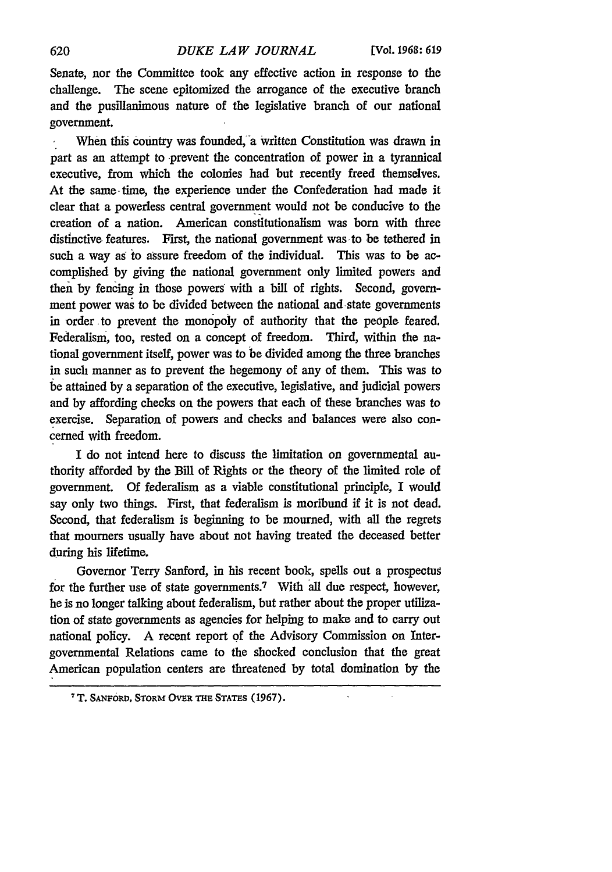Senate, nor the Committee took any effective action in response to the challenge. The scene epitomized the arrogance of the executive branch and the pusillanimous nature of the legislative branch of our national government.

When this country was founded, a written Constitution was drawn in part as an attempt to prevent the concentration of power in a tyrannical executive, from which the colonies had but recently freed themselves. At the same-time, the experience under the Confederation had made it clear that a powerless central government would not be conducive to the creation of a nation. American constitutionalism was born with three distinctive features. First, the national government was to **be** tethered in such a way as to assure freedom of the individual. This was to be accomplished by giving the national government only limited powers and then by fencing in those powers with a bill of rights. Second, government power was to be divided between the national and state governments in order to prevent the monopoly of authority that the people feared. Federalism, too, rested on a concept of freedom. Third, within the national government itself, power was to be divided among the three branches in such manner as to prevent the hegemony of any of them. This was to be attained by a separation of the executive, legislative, and judicial powers and by affording checks on the powers that each of these branches was to exercise. Separation of powers and checks and balances were also concerned with freedom.

I do not intend here to discuss the limitation on governmental authority afforded by the Bill of Rights or the theory of the limited role of government. Of federalism as a viable constitutional principle, I would say only two things. First, that federalism is moribund if it is not dead. Second, that federalism is beginning to be mourned, with all the regrets that mourners usually have about not having treated the deceased better during his lifetime.

Governor Terry Sanford, in his recent book, spells out a prospectug for the further use of state governments.<sup>7</sup> With all due respect, however, he is no longer talking about federalism, but rather about the proper utilization of state governments as agencies for helping to make and to carry out national policy. A recent report of the Advisory Commission on Intergovernmental Relations came to the shocked conclusion that the great American population centers are threatened by total domination by the

**I** T. **SANFORD,** STORM OVER **THE STATES** (1967).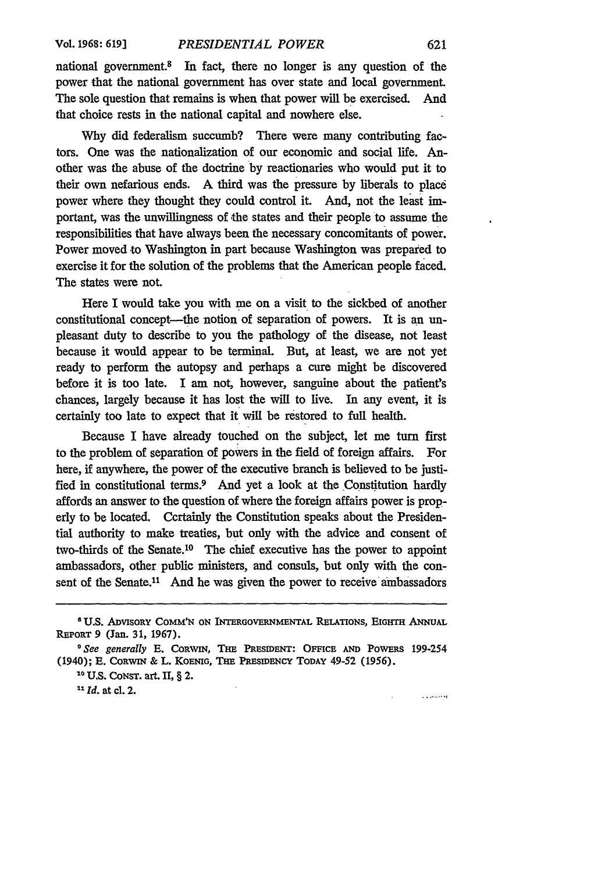national government.8 In fact, there no longer is any question of the power that the national government has over state and local government. The sole question that remains is when that power will be exercised. And that choice rests in the national capital and nowhere else.

Why did federalism succumb? There were many contributing factors. One was the nationalization of our economic and social life. Another was the abuse of the doctrine by reactionaries who would put it to their own nefarious ends. A third was the pressure by liberals to place power where they thought they could control it. And, not the least important, was the unwillingness of the states and their people to assume the responsibilities that have always been the necessary concomitants of power. Power moved to Washington in part because Washington was prepared to exercise it for the solution of the problems that the American people faced. The states were not.

Here I would take you with me on a visit to the sickbed of another constitutional concept—the notion of separation of powers. It is an unpleasant duty to describe to you the pathology of the disease, not least because it would appear to be terminal. But, at least, we are not yet ready to perform the autopsy and perhaps a cure might be discovered before it is too late. I am not, however, sanguine about the patient's chances, largely because it has lost the will to live. In any event, it is certainly too late to expect that it will be restored to full health.

Because I have already touched on the subject, let me turn first to the problem of separation of powers in the field of foreign affairs. For here, if anywhere, the power of the executive branch is believed to be justified in constitutional terms.9 And yet a look at the Constitution hardly affords an answer to the question of where the foreign affairs power is properly to be located. Certainly the Constitution speaks about the Presidential authority to make treaties, but only with the advice and consent of two-thirds of the Senate.10 The chief executive has the power to appoint ambassadors, other public ministers, and consuls, but only with the consent of the Senate.<sup>11</sup> And he was given the power to receive ambassadors

*<sup>11</sup> Id.* at **ci. 2.**

**Continued** 

**s U.S.** ADVISORY **COMM'N ON INTERGOVERNMENTAL RELATIONS, EIGHTH** ANNUAL **REPORT 9 (Jan. 31, 1967).**

<sup>&</sup>lt;sup>o</sup> See generally **E.** CORWIN, THE PRESIDENT: OFFICE AND POWERS 199-254 (1940); **E. CoRwiN &** L. **KOENIG, THE** *PRpsDEmNCY* **TODAY** 49-52 (1956). **10 U.S. CONST.** art. **II,** § **2.**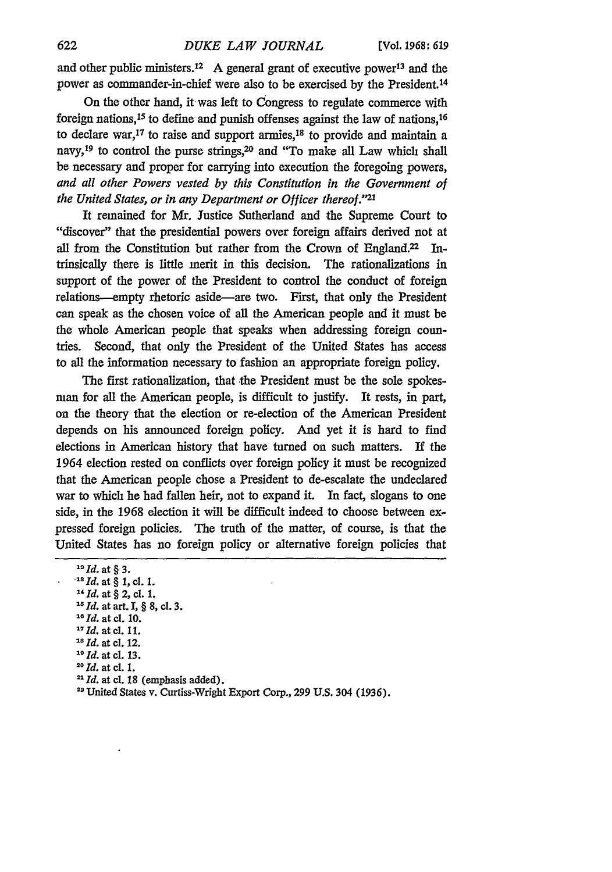and other public ministers.<sup>12</sup> A general grant of executive power<sup>13</sup> and the power as commander-in-chief were also to be exercised by the President.<sup>14</sup>

On the other hand, it-was left to Congress to regulate commerce with foreign nations, 15 to define and punish offenses against the law of nations,16 to declare war,<sup>17</sup> to raise and support armies,<sup>18</sup> to provide and maintain a navy,<sup>19</sup> to control the purse strings,<sup>20</sup> and "To make all Law which shall be necessary and proper for carrying into execution the foregoing powers, *and all other Powers vested by this Constitution in the Government of the United States, or in any Department or Officer thereof."21*

It remained for Mr. Justice Sutherland and the Supreme Court to "discover" that the presidential powers over foreign affairs derived not at all from the Constitution but rather from the Crown of England.22 Intrinsically there is little merit in this decision. The rationalizations in support of the power of the President to control the conduct of foreign relations-empty rhetoric aside-are two. First, that only the President can speak as the chosen voice of all the American people and it must be the whole American people that speaks when addressing foreign countries. Second, that only the President of the United States has access to all the information necessary to fashion an appropriate foreign policy.

The first rationalization, that the President must be the sole spokesman for all the American people, is difficult to justify. It rests, in part, on the theory that the election or re-election of the American President depends on his announced foreign policy. And yet it is hard to find elections in American history that have turned on such matters. If the 1964 election rested on conflicts over foreign policy it must be recognized that the American people chose a President to de-escalate the undeclared war to which he had fallen heir, not to expand it. In fact, slogans to one side, in the 1968 election it will be difficult indeed to choose between expressed foreign policies. The truth of the matter, of course, is that the United States has no foreign policy or alternative foreign policies that

*" Id.* at § **3.** <sup>18</sup>*Id. at* § **1,** cl. **1.** *<sup>1</sup> Id.* at § 2, cl. 1. *1d.* at art. I, § 8, cl. 3. *1 Id.* at **cl. 10.** *' 7Id.* at ci. 11. *18 Id.* at **cl.** 12. *19 Id.* at cl. **13.** *<sup>2</sup> 0Id.* at cl. **1.** *21 Id.* at cl. **18** (emphasis added). United States v. Curtiss-Wright Export Corp., **299** U.S. 304 (1936).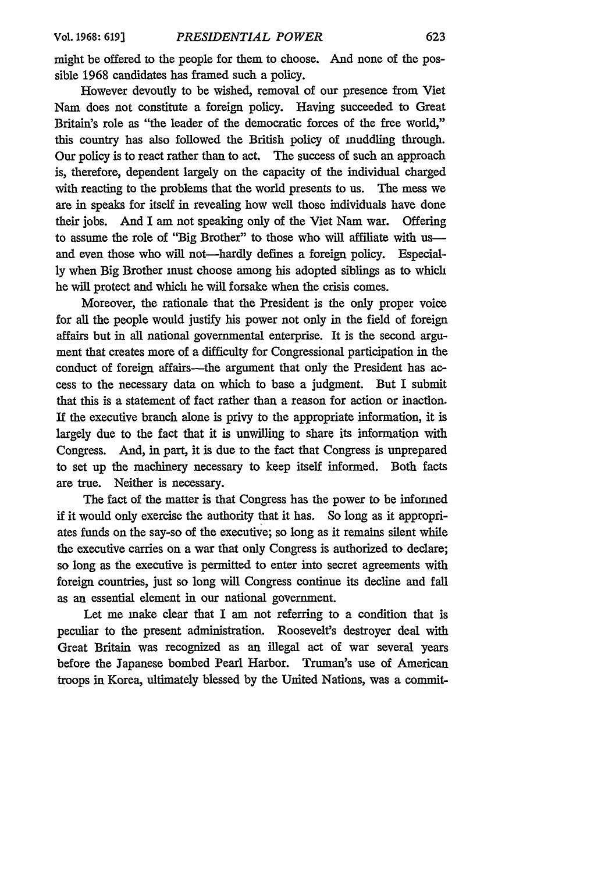might be offered to the people for them to choose. And none of the possible 1968 candidates has framed such a policy.

However devoutly to be wished, removal of our presence from Viet Nam does not constitute a foreign policy. Having succeeded to Great Britain's role as "the leader of the democratic forces of the free world," this country has also followed the British policy of muddling through. Our policy is to react rather than to act. The success of such an approach is, therefore, dependent largely on the capacity of the individual charged with reacting to the problems that the world presents to us. The mess we are in speaks for itself in revealing how wel those individuals have done their jobs. And I am not speaking only of the Viet Nam war. Offering to assume the role of "Big Brother" to those who will affiliate with usand even those who will not-hardly defines a foreign policy. Especially when Big Brother must choose among his adopted siblings as to which he will protect and which he will forsake when the crisis comes.

Moreover, the rationale that the President is the only proper voice for all the people would justify his power not only in the field of foreign affairs but in all national governmental enterprise. It is the second argument that creates more of a difficulty for Congressional participation in the conduct of foreign affairs--- the argument that only the President has access to the necessary data on which to base a judgment. But I submit that this is a statement of fact rather than a reason for action or inaction. If the executive branch alone is privy to the appropriate information, it is largely due to the fact that it is unwilling to share its information with Congress. And, in part, it is due to the fact that Congress is unprepared to set up the machinery necessary to keep itself informed. Both facts are true. Neither is necessary.

The fact of the matter is that Congress has the power to be informed if it would only exercise the authority that it has. So long as it appropriates funds on the say-so of the executive; so long as it remains silent while the executive carries on a war that only Congress is authorized to declare; so long as the executive is permitted to enter into secret agreements with foreign countries, just so long will Congress continue its decline and fall as an essential element in our national government.

Let me make clear that I am not referring to a condition that is peculiar to the present administration. Roosevelt's destroyer deal with Great Britain was recognized as an illegal act of war several years before the Japanese bombed Pearl Harbor. Truman's use of American troops in Korea, ultimately blessed by the United Nations, was a commit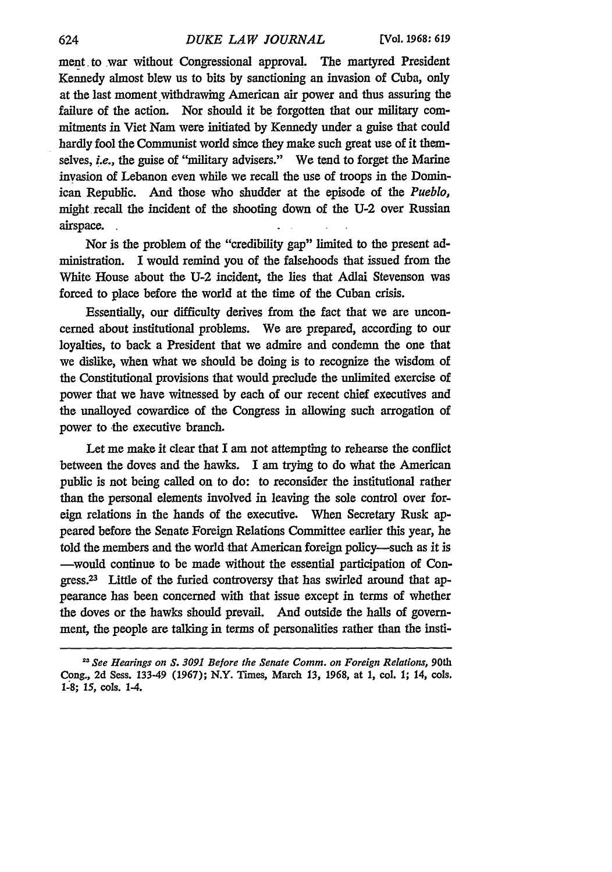ment to war without Congressional approval. The martyred President Kennedy almost blew us to bits by sanctioning an invasion of Cuba, only at the last moment withdrawing American air power and thus assuring the failure of the action. Nor should it be forgotten that our military commitments in Viet Nam were initiated by Kennedy under a guise that could hardly fool the Communist world since they make such great use of it themselves, *i.e.,* the guise of "military advisers." We tend to forget the Marine invasion of Lebanon even while we recall the use of troops in the Dominican Republic. And those who shudder at the episode of the *Pueblo,* might recall the incident of the shooting down of the U-2 over Russian airspace.

Nor is the problem of the "credibility gap" limited to the present administration. I would remind you of the falsehoods that issued from the White House about the U-2 incident, the lies that Adlai Stevenson was forced to place before the world at the time of the Cuban crisis.

Essentially, our difficulty derives from the fact that we are unconcerned about institutional problems. We are prepared, according to our loyalties, to back a President that we admire and condemn the one that we dislike, when what we should be doing is to recognize the wisdom of the Constitutional provisions that would preclude the unlimited exercise of power that we have witnessed by each of our recent chief executives and the unalloyed cowardice of the Congress in allowing such arrogation of power to the executive branch.

Let me make it clear that I am not attempting to rehearse the conflict between the doves and the hawks. I am trying to do what the American public is not being called on to do: to reconsider the institutional rather than the personal elements involved in leaving the sole control over foreign relations in the hands of the executive. When Secretary Rusk appeared before the Senate Foreign Relations Committee earlier this year, he told the members and the world that American foreign policy—such as it is -would continue to be made without the essential participation of Congress.23 Little of the furied controversy that has swirled around that appearance has been concerned with that issue except in terms of whether the doves or the hawks should prevail. And outside the halls of government, the people are talking in terms of personalities rather than the insti-

<sup>&</sup>lt;sup>23</sup> See Hearings on S. 3091 Before the Senate Comm. on Foreign Relations, 90th Cong., 2d Sess. 133-49 (1967); N.Y. Times, March 13, 1968, at 1, col. 1; 14, cols. 1-8; *15,* cols. 1-4.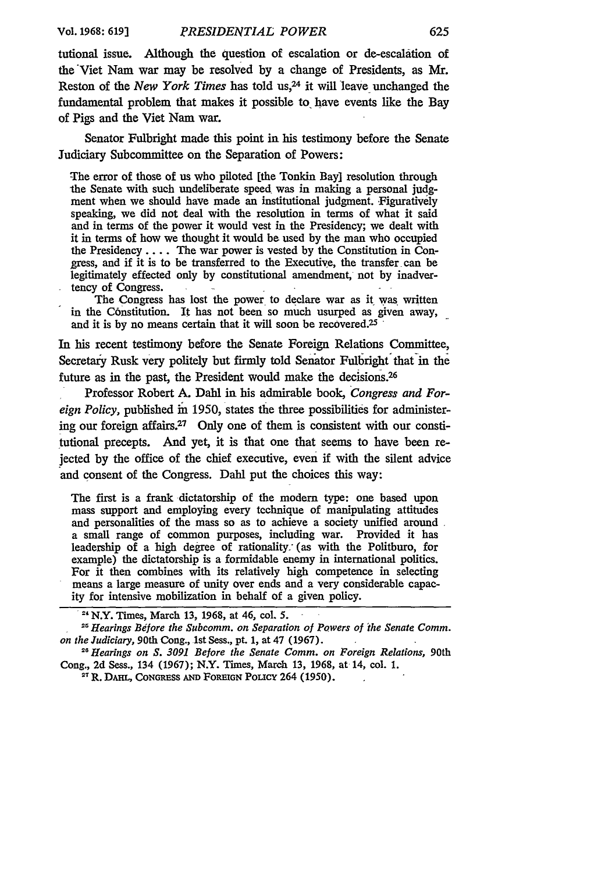tutional issue. Although the question of escalation or de-escalation of the'Viet Nam war may be resolved **by** a change of Presidents, as **Mr.** Reston of the *New York Times* has told us,24 it will leave unchanged the fundamental problem that makes it possible to have events like the Bay of Pigs and the Viet Nam war.

Senator Fulbright made this point in his testimony before the Senate Judiciary Subcommittee on the Separation of Powers:

The error of those of us who piloted [the Tonkin Bay] resolution through the Senate with such undeliberate speed was in making a personal **judg**ment when we should have made an institutional judgment. Figuratively speaking, we did not deal with the resolution in terms of what it said and in terms of the power it would vest in the Presidency; we dealt with it in terms of how we thought it would be used **by** the man who occupied the Presidency **....** The war power is vested **by** the Constitution in Congress, and if it is to be transferred to the Executive, the transfer can be legitimately effected only **by** constitutional amendment, not **by** inadvertency of Congress.

The Congress has lost the power to declare war as it was written **in** the Constitution. It has not been so much usurped as given away, and it is **by** no means certain that it will soon be recovered.<sup>25</sup>

In his recent testimony before the Senate Foreign Relations Committee, Secretary Rusk very politely but firmly told Senator Fulbright that in the future as in the past, the President would make the decisions.<sup>26</sup>

Professor Robert **A.** Dahl in his admirable **book,** *Congress and Foreign Policy,* published **in 1950,** states the three possibilities for administering our foreign affairs.<sup>27</sup> Only one of them is consistent with our consti**tutional** precepts. And **yet,** it is that one that seems to have been rejected **by** the office of the chief executive, even if with the silent advice and consent of the Congress. Dahl put the choices this way:

The first is a frank dictatorship of the modem type: one based upon mass support and employing every technique of manipulating attitudes and personalities of the mass so as to achieve a society unified around. a small range of common purposes, including war. Provided it has leadership of a high degree of rationality. (as with the Politburo, for example) the dictatorship is a formidable enemy **in** international politics. For it then combines with its relatively high competence in selecting means a large measure of unity over ends and a very considerable capacity for intensive mobilization in behalf of a given policy.

-'N.Y. Times, March **13, 1968,** at 46, col. **5.**

*Hearings Before the Subcomm. on Separation of Powers of the Senate Comm. on the Judiciary,* 90th Cong., 1st Sess., **pt. 1,** at 47 **(1967).**

*<sup>11</sup>Hearings on* **S.** *3091 Before the Senate Comm. on Foreign Relations,* 90th Cong., **2d** Sess., 134 **(1967);** N.Y. Times, March **13, 1968,** at 14, col. **1.** <sup>2</sup>

T R. **DAHL, CONGRESS AND FOREIGN POLICY** 264 **(1950).**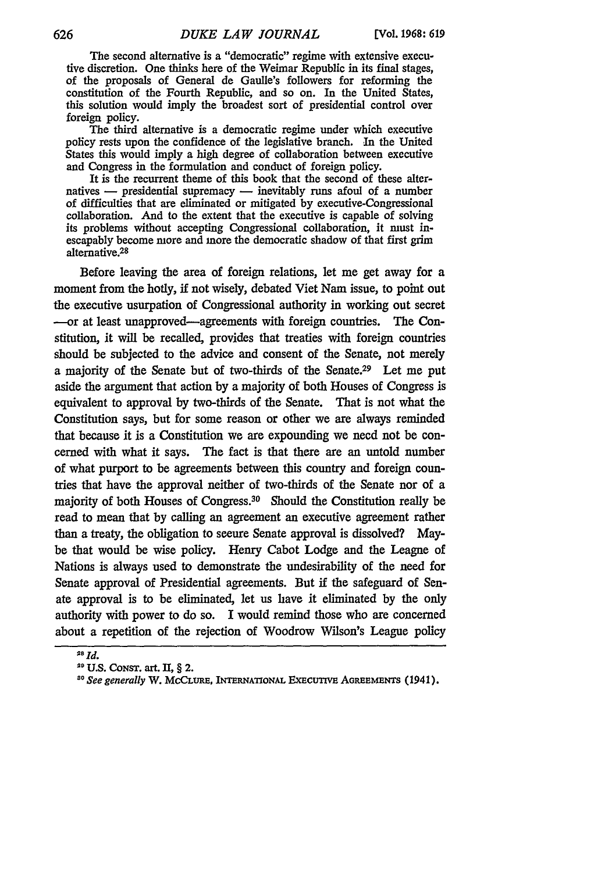The second alternative is a "democratic" regime with extensive executive discretion. One thinks here of the Weimar Republic in its final stages, of the proposals of General de Gaulle's followers for reforming the constitution of the Fourth Republic, and so on. In the United States, this solution would imply the broadest sort of presidential control over foreign policy.

The third alternative is a democratic regime under which executive policy rests upon the confidence of the legislative branch. In the United States this would imply a high degree of collaboration between executive and Congress in the formulation and conduct of foreign policy.

It is the recurrent theme of this book that the second of these alternatives - presidential supremacy - inevitably runs afoul of a number of difficulties that are eliminated or mitigated by executive-Congressional collaboration. And to the extent that the executive is capable of solving its problems without accepting Congressional collaboration, it must inescapably become more and more the democratic shadow of that first grim alternative.<sup>28</sup>

Before leaving the area of foreign relations, let me get away for a moment from the hotly, if not wisely, debated Viet Nam issue, to point out the executive usurpation of Congressional authority in working out secret -or at least unapproved-agreements with foreign countries. The Constitution, it will be recalled, provides that treaties with foreign countries should be subjected to the advice and consent of the Senate, not merely a majority of the Senate but of two-thirds of the Senate.29 Let me put aside the argument that action by a majority of both Houses of Congress is equivalent to approval by two-thirds of the Senate. That is not what the Constitution says, but for some reason or other we are always reminded that because it is a Constitution we are expounding we need not be concerned with what it says. The fact is that there are an untold number of what purport to be agreements between this country and foreign countries that have the approval neither of two-thirds of the Senate nor of a majority of both Houses of Congress.30 Should the Constitution really be read to mean that by calling an agreement an executive agreement rather than a treaty, the obligation to secure Senate approval is dissolved? Maybe that would be wise policy. Henry Cabot Lodge and the League of Nations is always used to demonstrate the undesirability of the need for Senate approval of Presidential agreements. But if the safeguard of Senate approval is to be eliminated, let us have it eliminated by the only authority with power to do so. I would remind those who are concerned about a repetition of the rejection of Woodrow Wilson's League policy

**<sup>28</sup>** *Id.*

**U.S. CoNsT. art. II,** § **2.**

<sup>&</sup>lt;sup>30</sup> See generally W. McCLURE, INTERNATIONAL EXECUTIVE AGREEMENTS (1941).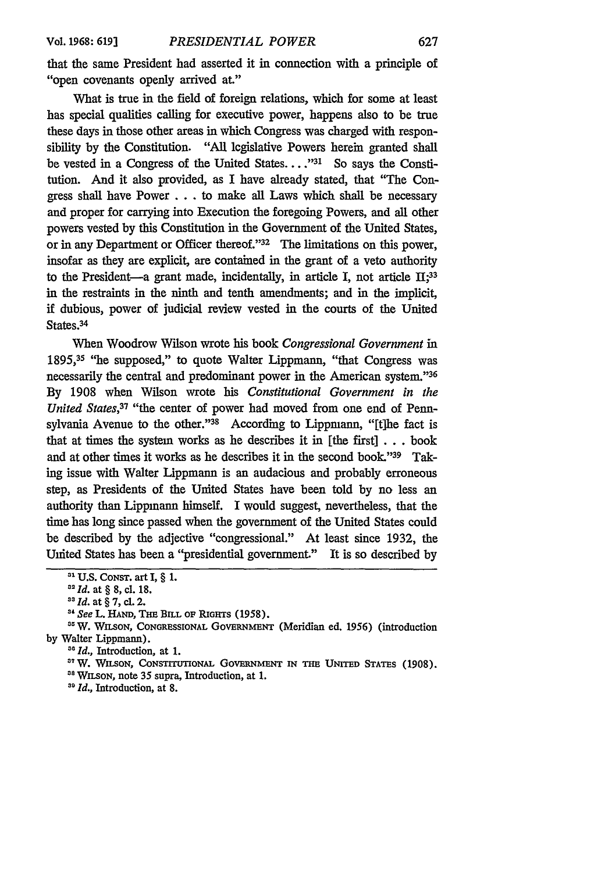that the same President had asserted it in connection with a principle of "copen covenants openly arrived at."

What is true in the field of foreign relations, which for some at least has special qualities calling for executive power, happens also to be true these days in those other areas in which Congress was charged with responsibility by the Constitution. "All legislative Powers herein granted shall be vested in a Congress of the United States. . . .<sup>331</sup> So says the Constitution. And it also provided, as I have already stated, that "The Congress shall have Power... to make all Laws which shall be necessary and proper for carrying into Execution the foregoing Powers, and all other powers vested by this Constitution in the Government of the United States, or in any Department or Officer thereof."<sup>32</sup> The limitations on this power, insofar as they are explicit, are contained in the grant of a veto authority to the President-a grant made, incidentally, in article I, not article  $II$ ;<sup>33</sup> in the restraints in the ninth and tenth amendments; and in the implicit, if dubious, power of judicial review vested in the courts of the United States.<sup>34</sup>

When Woodrow Wilson wrote his book *Congressional Government in* **1895,35** "he supposed," to quote Walter Lippmann, "that Congress was necessarily the central and predominant power in the American system."<sup>36</sup> By 1908 when Wilson wrote his *Constitutional Government in the United States, <sup>37</sup>*"the center of power had moved from one end of Pennsylvania Avenue to the other."38 According to Lippmann, "[t]he fact is that at times the system works as he describes it in [the first] .. .book and at other times it works as he describes it in the second book."<sup>39</sup> Taking issue with Walter Lippmann is an audacious and probably erroneous step, as Presidents of the United States have been told by no less an authority than Lippmann himself. I would suggest, nevertheless, that the time has long since passed when the government of the United States could be described by the adjective "congressional." At least since 1932, the United States has been a "presidential government." It is so described by

- <sup>37</sup> W. WILSON, CONSTITUTIONAL GOVERNMENT IN THE UNITED STATES (1908).
- <sup>38</sup> WILSON, note 35 supra, Introduction, at 1.
- *"Id.,* Introduction, at **8.**

<sup>&</sup>lt;sup>31</sup> U.S. CONST. art I, § 1.

*<sup>&</sup>quot;Id.* at § 8, cl. 18.

*Id.* at **§** 7, cl. 2.

**See L. HAND,** THE **BILL OF RIGHTS (1958).**

<sup>&</sup>quot;W. **WILSON,** CONGRESSIONAL **GOVERNMENT** (Meridian ed. **1956)** (introduction **by** Walter Lippmann).

*<sup>&</sup>quot;I ld.,* Introduction, at **1.**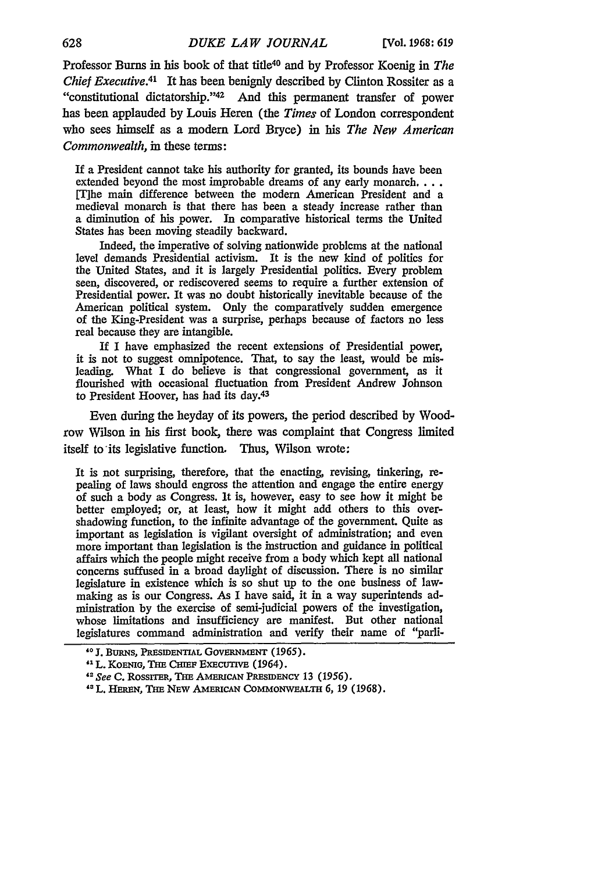Professor Burns in his book of that title40 and by Professor Koenig in *The Chief Executive.41* It has been benignly described by Clinton Rossiter as a "constitutional dictatorship."<sup>42</sup> And this permanent transfer of power has been applauded by Louis Heren (the *Times* of London correspondent who sees himself as a modem Lord Bryce) in his *The New American Commonwealth,* in these terms:

If a President cannot take his authority for granted, its bounds have been extended beyond the most improbable dreams of any early monarch... [T]he main difference between the modem American President and a medieval monarch is that there has been a steady increase rather than a diminution of his power. In comparative historical terms the United States has been moving steadily backward.

Indeed, the imperative of solving nationwide problems at the national level demands Presidential activism. It is the new kind of politics for the United States, and it is largely Presidential politics. Every problem seen, discovered, or rediscovered seems to require a further extension of Presidential power. It was no doubt historically inevitable because of the American political system. Only the comparatively sudden emergence of the King-President was a surprise, perhaps because of factors no less real because they are intangible.

If I have emphasized the recent extensions of Presidential power, it is not to suggest omnipotence. That, to say the least, would be misleading. What I do believe is that congressional government, as it flourished with occasional fluctuation from President Andrew Johnson to President Hoover, has had its day.<sup>43</sup>

Even during the heyday of its powers, the period described by Woodrow Wilson in his first book, there was complaint that Congress limited itself to its legislative function. Thus, Wilson wrote:

It is not surprising, therefore, that the enacting, revising, tinkering, repealing of laws should engross the attention and engage the entire energy of such a body as Congress. It is, however, easy to see how it might be better employed; or, at least, how it might add others to this overshadowing function, to the infinite advantage of the government. Quite as important as legislation is vigilant oversight of administration; and even more important than legislation is the instruction and guidance in political affairs which the people might receive from a body which kept all national concerns suffused in a broad daylight of discussion. There is no similar legislature in existence which is so shut up to the one business of lawmaking as is our Congress. As I have said, it in a way superintends administration by the exercise of semi-judicial powers of the investigation, whose limitations and insufficiency are manifest. But other national legislatures command administration and verify their name of "parli-

**<sup>,0</sup> J.** BuRNs, **PRESIDENTIAL** GovERNmENT (1965).

**<sup>,2</sup>** L. KOENIG, THm CUEiF ExEcuTivE (1964). *"* **See C.** RossrrnR, THE AMERICAN PRESMENCY 13 *(1956).*

**<sup>,13</sup>L.** HEREN, Tim NEW **AMERICAN** COMMONWEALTH **6, 19 (1968).**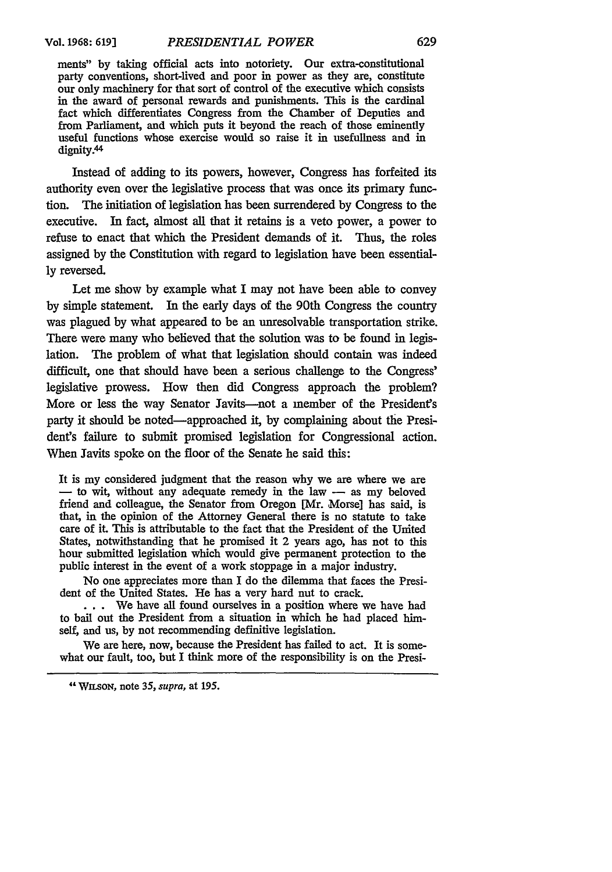ments" **by** taking official acts into notoriety. Our extra-constitutional party conventions, short-lived and poor in power as they are, constitute our only machinery for that sort of control of the executive which consists in the award of personal rewards and punishments. This is the cardinal fact which differentiates Congress from the Chamber of Deputies and from Parliament, and which puts it beyond the reach of those eminently useful functions whose exercise would so raise it in usefullness and in dignity.<sup>44</sup>

Instead of adding to its powers, however, Congress has forfeited its authority even over the legislative process that was once its primary function. The initiation of legislation has been surrendered by Congress to the executive. In fact, almost all that it retains is a veto power, a power to refuse to enact that which the President demands of it. Thus, the roles assigned by the Constitution with regard to legislation have been essentially reversed.

Let me show by example what I may not have been able to convey by simple statement. In the early days of the 90th Congress the country was plagued by what appeared to be an unresolvable transportation strike. There were many who believed that the solution was to be found in legislation. The problem of what that legislation should contain was indeed difficult, one that should have been a serious challenge to the Congress' legislative prowess. How then did Congress approach the problem? More or less the way Senator Javits-not a member of the President's party it should be noted-approached it, by complaining about the President's failure to submit promised legislation for Congressional action. When Javits spoke on the floor of the Senate he said this:

It is my considered judgment that the reason why we are where we are **-** to wit, without any adequate remedy in the law - as my beloved friend and colleague, the Senator from Oregon [Mr. Morse] has said, is that, in the opinion of the Attorney General there is no statute to take care of it. This is attributable to the fact that the President of the United States, notwithstanding that he promised it 2 years ago, has not to this hour submitted legislation which would give permanent protection to the public interest in the event of a work stoppage in a major industry.

No one appreciates more than I do the dilemma that faces the President of the United States. He has a very hard nut to crack.

... We have all found ourselves in a position where we have had to bail out the President from a situation in which he had placed himself, and us, by not recommending definitive legislation.

We are here, now, because the President has failed to act. It is somewhat our fault, too, but I think more of the responsibility is on the Presi-

<sup>4</sup> WILsoN, note **35,** *supra,* at **195.**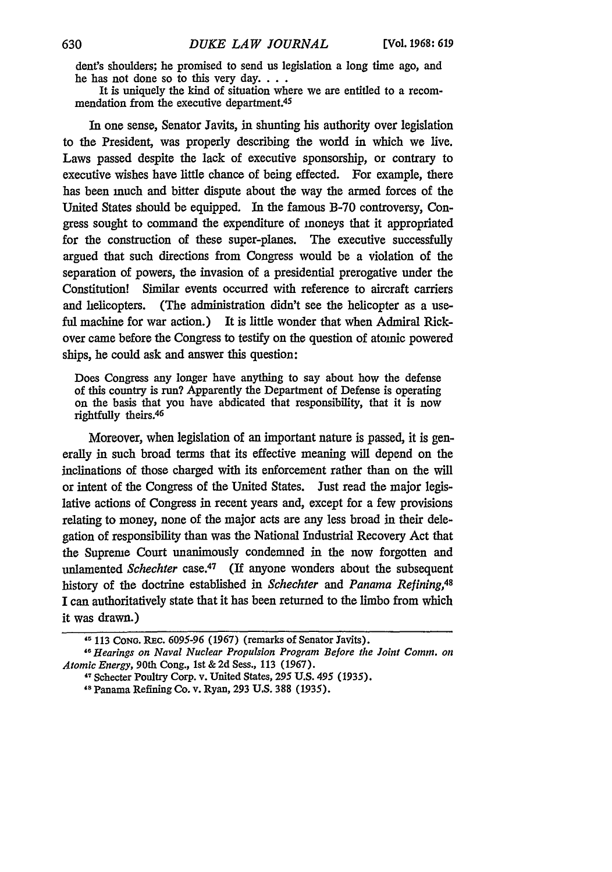dent's shoulders; he promised to send us legislation a long time ago, and he has not done so to this very day. . . .

It is uniquely the kind of situation where we are entitled to a recommendation from the executive department.<sup>45</sup>

In one sense, Senator Javits, in shunting his authority over legislation to the President, was properly describing the world in which we live. Laws passed despite the lack of executive sponsorship, or contrary to executive wishes have little chance of being effected. For example, there has been much and bitter dispute about the way the armed forces of the United States should **be** equipped. In the famous **B-70** controversy, Congress sought to command the expenditure of moneys that it appropriated for the construction of these super-planes. The executive successfully argued that such directions from Congress would be a violation of the separation of powers, the invasion of a presidential prerogative under the Constitution! Similar events occurred with reference to aircraft carriers and helicopters. (The administration didn't see the helicopter as a useful machine for war action.) It is little wonder that when Admiral Rickover came before the Congress to testify on the question of atomic powered ships, he could ask and answer this question:

Does Congress any longer have anything to say about how the defense of this country is run? Apparently the Department of Defense is operating on the basis that you have abdicated that responsibility, that it is now rightfully theirs. <sup>46</sup>

Moreover, when legislation of an important nature is passed, it is generally in such broad terms that its effective meaning will depend on the inclinations of those charged with its enforcement rather than on the will or intent of the Congress of the United States. Just read the major legislative actions of Congress in recent years and, except for a few provisions relating to money, none of the major acts are any less broad in their delegation of responsibility than was the National Industrial Recovery Act that the Supreme Court unanimously condemned in the now forgotten and unlamented *Schechter* case.<sup>47</sup> (If anyone wonders about the subsequent history of the doctrine established in *Schechter and Panama Refining,*<sup>48</sup> **I** can authoritatively state that it has been returned to the limbo from which it was drawn.)

**<sup>15 113</sup> CoNG.** REc. *6095-96* **(1967)** (remarks of Senator Javits).

**<sup>46</sup>***Hearings on Naval Nuclear Propulsion Program Before the Joint Comm. on* Atomic Energy, 90th Cong., 1st & 2d Sess., 113 (1967).<br>
<sup>47</sup> Schecter Poultry Corp. v. United States, 295 U.S. 495 (1935).<br>
<sup>48</sup> Panama Refining Co. v. Rvan. 293 U.S. 388 (1935).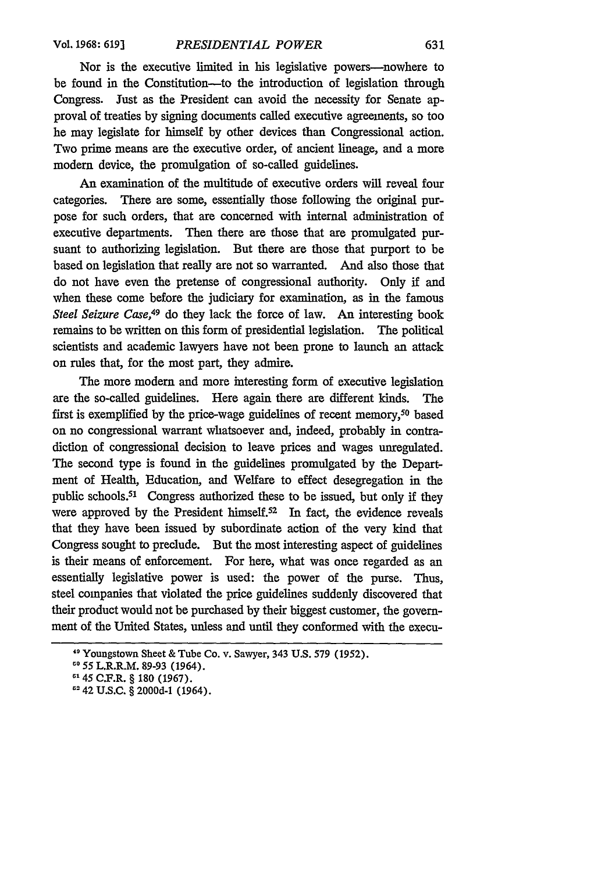Nor is the executive limited in his legislative powers-nowhere to be found in the Constitution-to the introduction of legislation through Congress. Just as the President can avoid the necessity for Senate approval of treaties by signing documents called executive agreements, so too he may legislate for himself by other devices than Congressional action. Two prime means are the executive order, of ancient lineage, and a more modem device, the promulgation of so-called guidelines.

An examination of the multitude of executive orders will reveal four categories. There are some, essentially those following the original purpose for such orders, that are concerned with internal administration of executive departments. Then there are those that are promulgated pursuant to authorizing legislation. But there are those that purport to be based on legislation that really are not so warranted. And also those that do not have even the pretense of congressional authority. Only if and when these come before the judiciary for examination, as in the famous *Steel Seizure Case,49* do they lack the force of law. An interesting book remains to be written on this form of presidential legislation. The political scientists and academic lawyers have not been prone to launch an attack on rules that, for the most part, they admire.

The more modern and more interesting form of executive legislation are the so-called guidelines. Here again there are different kinds. The first is exemplified by the price-wage guidelines of recent memory,<sup>50</sup> based on no congressional warrant whatsoever and, indeed, probably in contradiction of congressional decision to leave prices and wages unregulated. The second type is found in the guidelines promulgated by the Department of Health, Education, and Welfare to effect desegregation in the public schools.<sup>51</sup> Congress authorized these to be issued, but only if they were approved by the President himself.52 In fact, the evidence reveals that they have been issued by subordinate action of the very kind that Congress sought to preclude. But the most interesting aspect of guidelines is their means of enforcement. For here, what was once regarded as an essentially legislative power is used: the power of the purse. Thus, steel companies that violated the price guidelines suddenly discovered that their product would not be purchased by their biggest customer, the government of the United States, unless and until they conformed with the execu-

<sup>&</sup>quot;Youngstown Sheet & Tube Co. v. Sawyer, 343 **U.S. 579 (1952). <sup>0055</sup>**L.R.R.M. 89-93 (1964).

**<sup>0145</sup>** C.F.R. § **180** (1967).

**<sup>-242</sup>** U.S.C. § **2000d-1** (1964).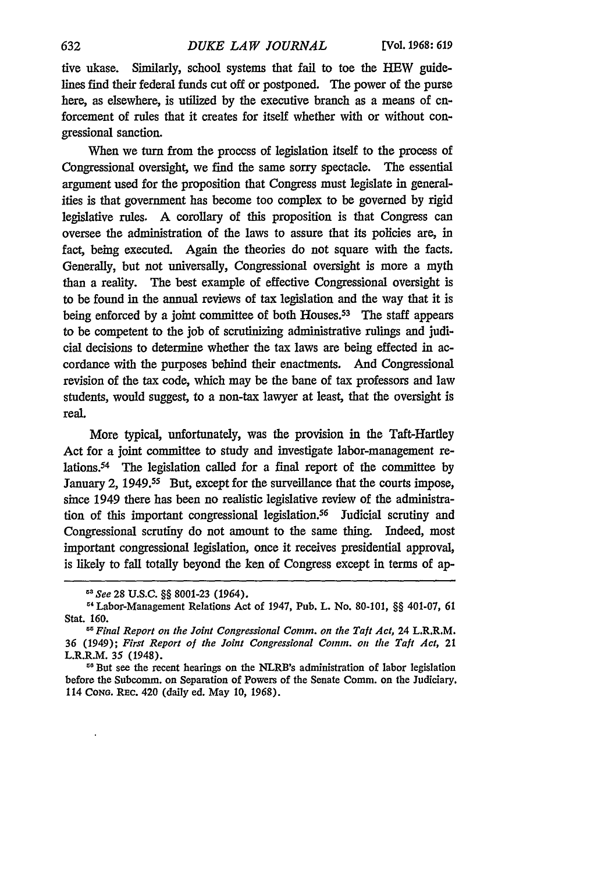tive ukase. Similarly, school systems that fail to toe the HEW guidelines find their federal funds cut off or postponed. The power of the purse here, as elsewhere, is utilized by the executive branch as a means of enforcement of rules that it creates for itself whether with or without congressional sanction.

When we turn from the process of legislation itself to the process of Congressional oversight, we find the same sorry spectacle. **The** essential argument used for the proposition that Congress must legislate in generalities is that government has become too complex to be governed by rigid legislative rules. A corollary of this proposition is that Congress can oversee the administration of the laws to assure that its policies are, in fact, being executed. Again the theories do not square with the facts. Generally, but not universally, Congressional oversight is more a myth than a reality. The best example of effective Congressional oversight is to be found in the annual reviews of tax legislation and the way that it is being enforced by a joint committee of both Houses.<sup>53</sup> The staff appears to be competent to the **job** of scrutinizing administrative rulings and judicial decisions to determine whether the tax laws are being effected in accordance with the purposes behind their enactments. And Congressional revision of the tax code, which may be the bane of tax professors and law students, would suggest, to a non-tax lawyer at least, that the oversight is real.

More typical, unfortunately, was the provision in the Taft-Hartley Act for a joint committee to study and investigate labor-management relations.54 The legislation called for a final report of the committee by January 2, 1949.<sup>55</sup> But, except for the surveillance that the courts impose, since 1949 there has been no realistic legislative review of the administration of this important congressional legislation. 56 Judicial scrutiny and Congressional scrutiny do not amount to the same thing. Indeed, most important congressional legislation, once it receives presidential approval, is likely to fall totally beyond the ken of Congress except in terms of ap-

*r'See* 28 U.S.C. §§ 8001-23 (1964).

**<sup>5</sup>**Labor-Management Relations Act of 1947, Pub. L. No. 80-101, §§ 401-07, 61 Stat. **160.**

*<sup>11</sup>Final Report on the Joint Congressional Comm. on the Taft Act,* 24 L.R.R.M. *36* (1949); *First Report of the Joint Congressional Comm. on the Taft Act,* 21 L.R.R.M. 35 (1948).

<sup>&</sup>lt;sup>56</sup> But see the recent hearings on the NLRB's administration of labor legislation before the Subcomm. on Separation of Powers of the Senate Comm. on the Judiciary. 114 CONG. REC. 420 (daily ed. May 10, 1968).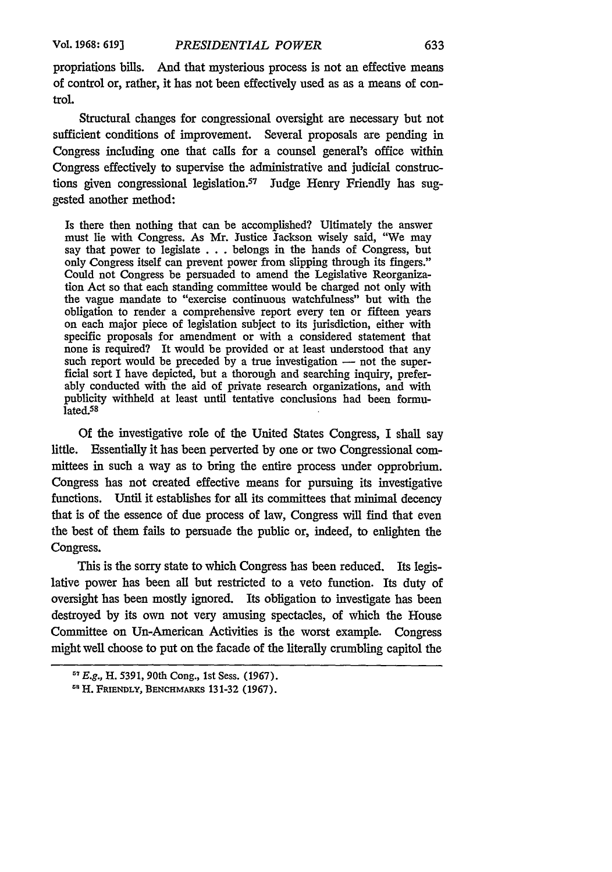propriations bills. And that mysterious process is not an effective means of control or, rather, it has not been effectively used as as a means of control.

Structural changes for congressional oversight are necessary but not sufficient conditions of improvement. Several proposals are pending in Congress including one that calls for a counsel general's office within Congress effectively to supervise the administrative and judicial constructions given congressional legislation.57 Judge Henry Friendly has suggested another method:

Is there then nothing that can be accomplished? Ultimately the answer must lie with Congress. As Mr. Justice Jackson wisely said, "We may say that power to legislate . . **.** belongs in the hands of Congress, but only Congress itself can prevent power from slipping through its fingers." Could not Congress be persuaded to amend the Legislative Reorganization Act so that each standing committee would be charged not only with the vague mandate to "exercise continuous watchfulness" but with the obligation to render a comprehensive report every ten or fifteen years on each major piece of legislation subject to its jurisdiction, either with specific proposals for amendment or with a considered statement that none is required? It would be provided or at least understood that any such report would be preceded by a true investigation  $-$  not the superficial sort I have depicted, but a thorough and searching inquiry, preferably conducted with the aid of private research organizations, and with publicity withheld at least until tentative conclusions had been formulated.<sup>58</sup>

Of the investigative role of the United States Congress, I shall say little. Essentially it has been perverted by one or two Congressional committees in such a way as to bring the entire process under opprobrium. Congress has not created effective means for pursuing its investigative functions. Until it establishes for all its committees that minimal decency that is of the essence of due process of law, Congress will find that even the best of them fails to persuade the public or, indeed, to enlighten the Congress.

This is the sorry state to which Congress has been reduced. Its legislative power has been all but restricted to a veto function. Its duty of oversight has been mostly ignored. Its obligation to investigate has been destroyed by its own not very amusing spectacles, of which the House Committee on Un-American Activities is the worst example. Congress might well choose to put on the facade of the literally crumbling capitol the

<sup>&#</sup>x27;7 *E.g.,* H. **5391,** 90th Cong., 1st Sess. (1967).

**H. FRIENDLY, BENCHMARKS 131-32 (1967).**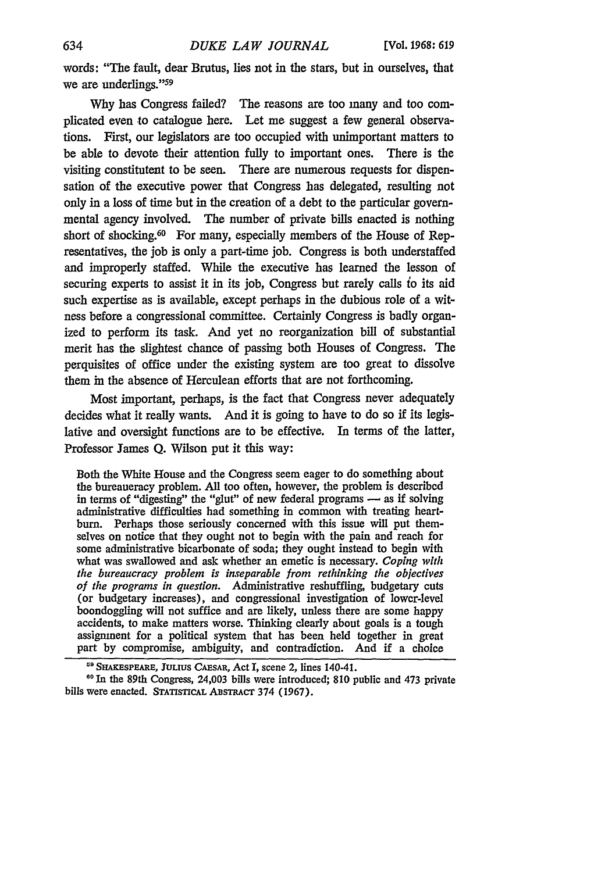words: "The fault, dear Brutus, lies not in the stars, but in ourselves, that we are underlings."<sup>59</sup>

**Why** has Congress failed? The reasons are too many and too complicated even to catalogue here. Let me suggest a few general observations. First, our legislators are too occupied with unimportant matters to be able to devote their attention fully to important ones. There is the visiting constitutent to be seen. There are numerous requests for dispensation of the executive power that Congress has delegated, resulting not only in a loss of time but in the creation of a debt to the particular governmental agency involved. The number of private bills enacted is nothing short of shocking.<sup>60</sup> For many, especially members of the House of Representatives, the job is only a part-time job. Congress is both understaffed and improperly staffed. While the executive has learned the lesson of securing experts to assist it in its job, Congress but rarely calls io its aid such expertise as is available, except perhaps in the dubious role of a witness before a congressional committee. Certainly Congress is badly organized to perform its task. And yet no reorganization bill of substantial merit has the slightest chance of passing both Houses of Congress. The perquisites of office under the existing system are too great to dissolve them in the absence of Herculean efforts that are not forthcoming.

Most important, perhaps, is the fact that Congress never adequately decides what it really wants. And it is going to have to do so if its legislative and oversight functions are to be effective. In terms of the latter, Professor James Q. Wilson put it this way:

Both the White House and the Congress seem eager to do something about the bureaucracy problem. All too often, however, the problem is described in terms of "digesting" the "glut" of new federal programs **-** as if solving administrative difficulties had something in common with treating heartburn. Perhaps those seriously concerned with this issue will put themselves on notice that they ought not to begin with the pain and reach for some administrative bicarbonate of soda; they ought instead to begin with what was swallowed and ask whether an emetic is necessary. *Coping with the bureaucracy problem is inseparable from rethinking the objectives of the programs in question.* Administrative reshuffling, budgetary cuts (or budgetary increases), and congressional investigation of lower-level boondoggling will not suffice and are likely, unless there are some happy accidents, to make matters worse. Thinking clearly about goals is a tough assignment for a political system that has been held together in great part by compromise, ambiguity, and contradiction. And if a choice

<sup>&</sup>lt;sup>59</sup> SHAKESPEARE, JULIUS CAESAR, Act I, scene 2, lines 140-41.<br><sup>60</sup> In the 89th Congress, 24,003 bills were introduced; 810 public and 473 private bills were enacted. STATISTICAL ABSTRACT 374 (1967).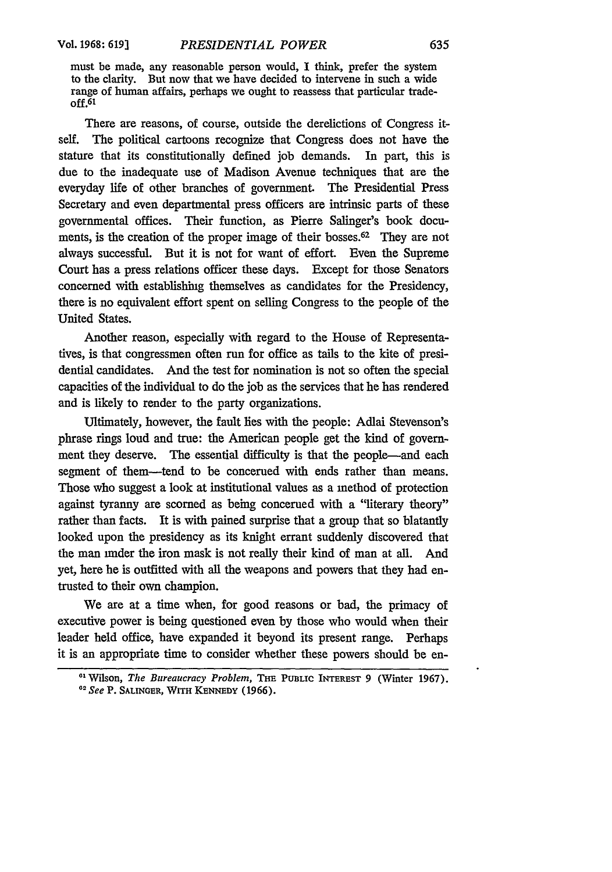must be made, any reasonable person would, I think, prefer the system to the clarity. But now that we have decided to intervene in such a wide range of human affairs, perhaps we ought to reassess that particular trade**off. <sup>6</sup> '**

There are reasons, of course, outside the derelictions of Congress itself. The political cartoons recognize that Congress does not have the stature that its constitutionally defined job demands. In part, this is due to the inadequate use of Madison Avenue techniques that are the everyday life of other branches of government. The Presidential Press Secretary and even departmental press officers are intrinsic parts of these governmental offices. Their function, as Pierre Salinger's book documents, is the creation of the proper image of their bosses.<sup>62</sup> They are not always successful. But it is not for want of effort. Even the Supreme Court has a press relations officer these days. Except for those Senators concerned with establishing themselves as candidates for the Presidency, there is no equivalent effort spent on selling Congress to the people of the United States.

Another reason, especially with regard to the House of Representatives, is that congressmen often run for office as tails to the kite of presidential candidates. And the test for nomination is not so often the special capacities of the individual to do the job as the services that he has rendered and is likely to render to the party organizations.

Ultimately, however, the fault lies with the people: Adlai Stevenson's phrase rings loud and true: the American people get the kind of government they deserve. The essential difficulty is that the people—and each segment of them—tend to be concerned with ends rather than means. Those who suggest a look at institutional values as a method of protection against tyranny are scorned as being concerned with a "literary theory" rather than facts. It is with pained surprise that a group that so blatantly looked upon the presidency as its knight errant suddenly discovered that the man under the iron mask is not really their kind of man at all. And yet, here he is outfitted with all the weapons and powers that they had entrusted to their own champion.

We are at a time when, for good reasons or bad, the primacy of executive power is being questioned even by those who would when their leader held office, have expanded it beyond its present range. Perhaps it is an appropriate time to consider whether these powers should be en-

<sup>&</sup>lt;sup>61</sup> Wilson, *The Bureaucracy Problem*, THE PUBLIC INTEREST 9 (Winter 1967). <sup>92</sup> *See P. SALINGER, WITH KENNEDY (1966)*.